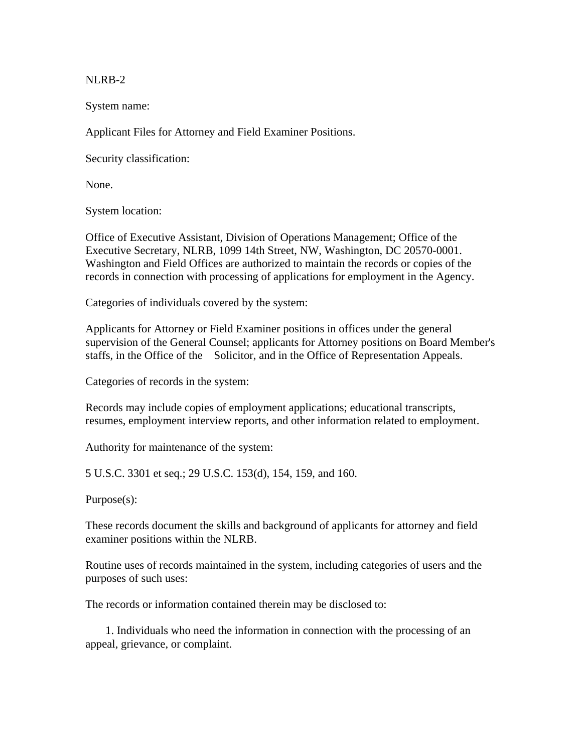NLRB-2

System name:

Applicant Files for Attorney and Field Examiner Positions.

Security classification:

None.

System location:

Office of Executive Assistant, Division of Operations Management; Office of the Executive Secretary, NLRB, 1099 14th Street, NW, Washington, DC 20570-0001. Washington and Field Offices are authorized to maintain the records or copies of the records in connection with processing of applications for employment in the Agency.

Categories of individuals covered by the system:

Applicants for Attorney or Field Examiner positions in offices under the general supervision of the General Counsel; applicants for Attorney positions on Board Member's staffs, in the Office of the Solicitor, and in the Office of Representation Appeals.

Categories of records in the system:

Records may include copies of employment applications; educational transcripts, resumes, employment interview reports, and other information related to employment.

Authority for maintenance of the system:

5 U.S.C. 3301 et seq.; 29 U.S.C. 153(d), 154, 159, and 160.

Purpose(s):

These records document the skills and background of applicants for attorney and field examiner positions within the NLRB.

Routine uses of records maintained in the system, including categories of users and the purposes of such uses:

The records or information contained therein may be disclosed to:

 1. Individuals who need the information in connection with the processing of an appeal, grievance, or complaint.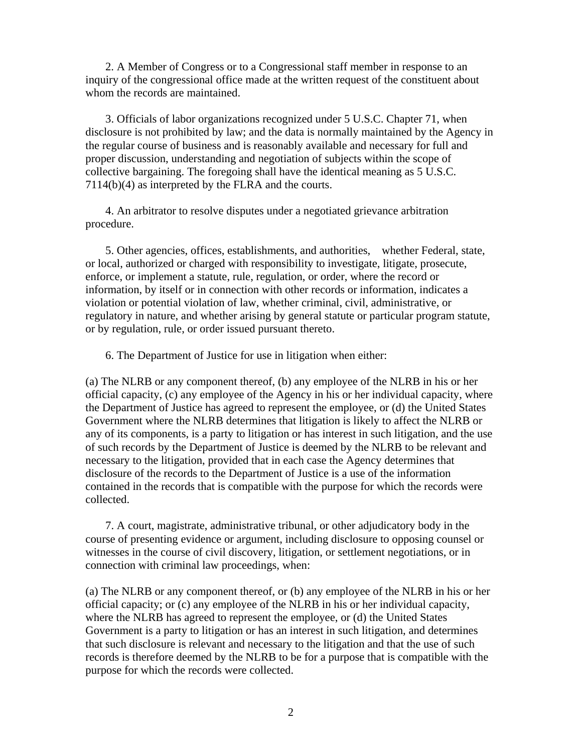2. A Member of Congress or to a Congressional staff member in response to an inquiry of the congressional office made at the written request of the constituent about whom the records are maintained.

 3. Officials of labor organizations recognized under 5 U.S.C. Chapter 71, when disclosure is not prohibited by law; and the data is normally maintained by the Agency in the regular course of business and is reasonably available and necessary for full and proper discussion, understanding and negotiation of subjects within the scope of collective bargaining. The foregoing shall have the identical meaning as 5 U.S.C. 7114(b)(4) as interpreted by the FLRA and the courts.

 4. An arbitrator to resolve disputes under a negotiated grievance arbitration procedure.

 5. Other agencies, offices, establishments, and authorities, whether Federal, state, or local, authorized or charged with responsibility to investigate, litigate, prosecute, enforce, or implement a statute, rule, regulation, or order, where the record or information, by itself or in connection with other records or information, indicates a violation or potential violation of law, whether criminal, civil, administrative, or regulatory in nature, and whether arising by general statute or particular program statute, or by regulation, rule, or order issued pursuant thereto.

6. The Department of Justice for use in litigation when either:

(a) The NLRB or any component thereof, (b) any employee of the NLRB in his or her official capacity, (c) any employee of the Agency in his or her individual capacity, where the Department of Justice has agreed to represent the employee, or (d) the United States Government where the NLRB determines that litigation is likely to affect the NLRB or any of its components, is a party to litigation or has interest in such litigation, and the use of such records by the Department of Justice is deemed by the NLRB to be relevant and necessary to the litigation, provided that in each case the Agency determines that disclosure of the records to the Department of Justice is a use of the information contained in the records that is compatible with the purpose for which the records were collected.

 7. A court, magistrate, administrative tribunal, or other adjudicatory body in the course of presenting evidence or argument, including disclosure to opposing counsel or witnesses in the course of civil discovery, litigation, or settlement negotiations, or in connection with criminal law proceedings, when:

(a) The NLRB or any component thereof, or (b) any employee of the NLRB in his or her official capacity; or (c) any employee of the NLRB in his or her individual capacity, where the NLRB has agreed to represent the employee, or (d) the United States Government is a party to litigation or has an interest in such litigation, and determines that such disclosure is relevant and necessary to the litigation and that the use of such records is therefore deemed by the NLRB to be for a purpose that is compatible with the purpose for which the records were collected.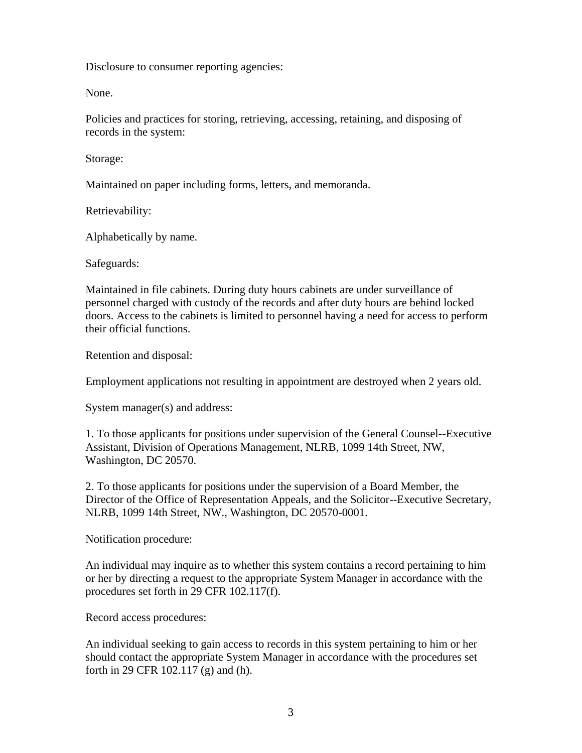Disclosure to consumer reporting agencies:

None.

Policies and practices for storing, retrieving, accessing, retaining, and disposing of records in the system:

Storage:

Maintained on paper including forms, letters, and memoranda.

Retrievability:

Alphabetically by name.

Safeguards:

Maintained in file cabinets. During duty hours cabinets are under surveillance of personnel charged with custody of the records and after duty hours are behind locked doors. Access to the cabinets is limited to personnel having a need for access to perform their official functions.

Retention and disposal:

Employment applications not resulting in appointment are destroyed when 2 years old.

System manager(s) and address:

1. To those applicants for positions under supervision of the General Counsel--Executive Assistant, Division of Operations Management, NLRB, 1099 14th Street, NW, Washington, DC 20570.

2. To those applicants for positions under the supervision of a Board Member, the Director of the Office of Representation Appeals, and the Solicitor--Executive Secretary, NLRB, 1099 14th Street, NW., Washington, DC 20570-0001.

Notification procedure:

An individual may inquire as to whether this system contains a record pertaining to him or her by directing a request to the appropriate System Manager in accordance with the procedures set forth in 29 CFR 102.117(f).

Record access procedures:

An individual seeking to gain access to records in this system pertaining to him or her should contact the appropriate System Manager in accordance with the procedures set forth in 29 CFR 102.117 (g) and (h).